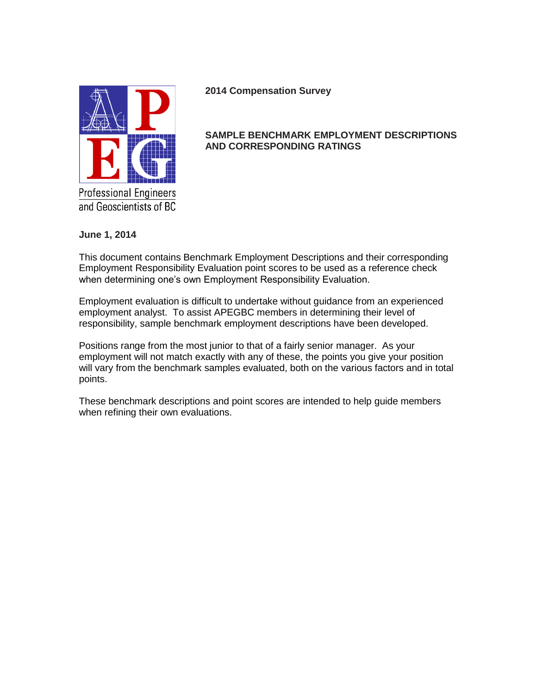

**2014 Compensation Survey**

## **SAMPLE BENCHMARK EMPLOYMENT DESCRIPTIONS AND CORRESPONDING RATINGS**

**June 1, 2014**

This document contains Benchmark Employment Descriptions and their corresponding Employment Responsibility Evaluation point scores to be used as a reference check when determining one's own Employment Responsibility Evaluation.

Employment evaluation is difficult to undertake without guidance from an experienced employment analyst. To assist APEGBC members in determining their level of responsibility, sample benchmark employment descriptions have been developed.

Positions range from the most junior to that of a fairly senior manager. As your employment will not match exactly with any of these, the points you give your position will vary from the benchmark samples evaluated, both on the various factors and in total points.

These benchmark descriptions and point scores are intended to help guide members when refining their own evaluations.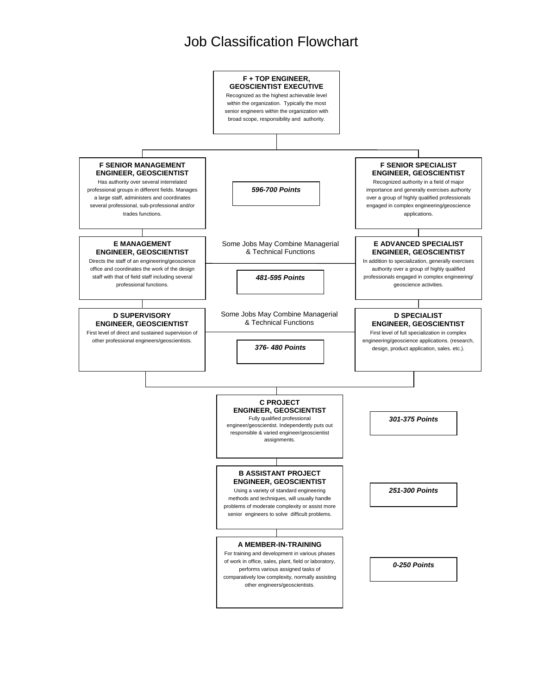## Job Classification Flowchart

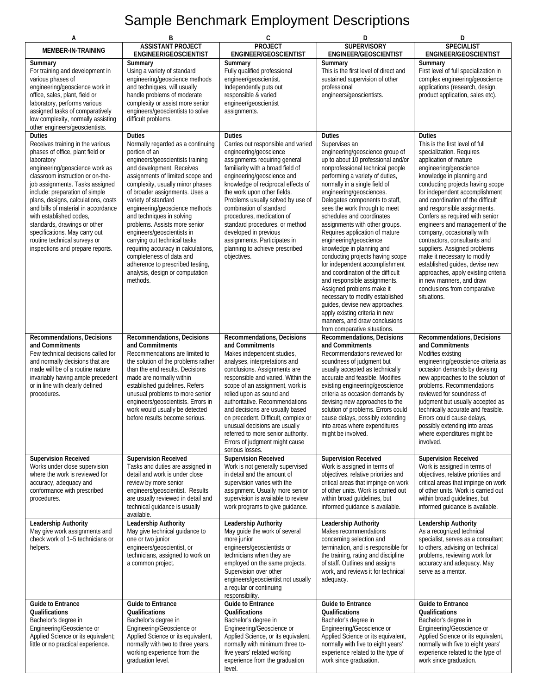## Sample Benchmark Employment Descriptions

| А                                                                                                                                                                                                                                                                                                                                                                                                                                                                                            | В                                                                                                                                                                                                                                                                                                                                                                                                                                                                                                                                                                                         | C                                                                                                                                                                                                                                                                                                                                                                                                                                                                                               | D                                                                                                                                                                                                                                                                                                                                                                                                                                                                                                                                                                                                                                                                                                                                                                                                                      | D                                                                                                                                                                                                                                                                                                                                                                                                                                                                                                                                                                                                                                                              |
|----------------------------------------------------------------------------------------------------------------------------------------------------------------------------------------------------------------------------------------------------------------------------------------------------------------------------------------------------------------------------------------------------------------------------------------------------------------------------------------------|-------------------------------------------------------------------------------------------------------------------------------------------------------------------------------------------------------------------------------------------------------------------------------------------------------------------------------------------------------------------------------------------------------------------------------------------------------------------------------------------------------------------------------------------------------------------------------------------|-------------------------------------------------------------------------------------------------------------------------------------------------------------------------------------------------------------------------------------------------------------------------------------------------------------------------------------------------------------------------------------------------------------------------------------------------------------------------------------------------|------------------------------------------------------------------------------------------------------------------------------------------------------------------------------------------------------------------------------------------------------------------------------------------------------------------------------------------------------------------------------------------------------------------------------------------------------------------------------------------------------------------------------------------------------------------------------------------------------------------------------------------------------------------------------------------------------------------------------------------------------------------------------------------------------------------------|----------------------------------------------------------------------------------------------------------------------------------------------------------------------------------------------------------------------------------------------------------------------------------------------------------------------------------------------------------------------------------------------------------------------------------------------------------------------------------------------------------------------------------------------------------------------------------------------------------------------------------------------------------------|
| MEMBER-IN-TRAINING                                                                                                                                                                                                                                                                                                                                                                                                                                                                           | <b>ASSISTANT PROJECT</b><br>ENGINEER/GEOSCIENTIST                                                                                                                                                                                                                                                                                                                                                                                                                                                                                                                                         | PROJECT<br>ENGINEER/GEOSCIENTIST                                                                                                                                                                                                                                                                                                                                                                                                                                                                | <b>SUPERVISORY</b><br>ENGINEER/GEOSCIENTIST                                                                                                                                                                                                                                                                                                                                                                                                                                                                                                                                                                                                                                                                                                                                                                            | <b>SPECIALIST</b><br>ENGINEER/GEOSCIENTIST                                                                                                                                                                                                                                                                                                                                                                                                                                                                                                                                                                                                                     |
| Summary<br>For training and development in<br>various phases of<br>engineering/geoscience work in<br>office, sales, plant, field or<br>laboratory, performs various<br>assigned tasks of comparatively<br>low complexity, normally assisting<br>other engineers/geoscientists.                                                                                                                                                                                                               | Summary<br>Using a variety of standard<br>engineering/geoscience methods<br>and techniques, will usually<br>handle problems of moderate<br>complexity or assist more senior<br>engineers/geoscientists to solve<br>difficult problems.                                                                                                                                                                                                                                                                                                                                                    | Summary<br>Fully qualified professional<br>engineer/geoscientist.<br>Independently puts out<br>responsible & varied<br>engineer/geoscientist<br>assignments.                                                                                                                                                                                                                                                                                                                                    | Summary<br>This is the first level of direct and<br>sustained supervision of other<br>professional<br>engineers/geoscientists.                                                                                                                                                                                                                                                                                                                                                                                                                                                                                                                                                                                                                                                                                         | Summary<br>First level of full specialization in<br>complex engineering/geoscience<br>applications (research, design,<br>product application, sales etc).                                                                                                                                                                                                                                                                                                                                                                                                                                                                                                      |
| <b>Duties</b><br>Receives training in the various<br>phases of office, plant field or<br>laboratory<br>engineering/geoscience work as<br>classroom instruction or on-the-<br>job assignments. Tasks assigned<br>include: preparation of simple<br>plans, designs, calculations, costs<br>and bills of material in accordance<br>with established codes,<br>standards, drawings or other<br>specifications. May carry out<br>routine technical surveys or<br>inspections and prepare reports. | <b>Duties</b><br>Normally regarded as a continuing<br>portion of an<br>engineers/geoscientists training<br>and development. Receives<br>assignments of limited scope and<br>complexity, usually minor phases<br>of broader assignments. Uses a<br>variety of standard<br>engineering/geoscience methods<br>and techniques in solving<br>problems. Assists more senior<br>engineers/geoscientists in<br>carrying out technical tasks<br>requiring accuracy in calculations,<br>completeness of data and<br>adherence to prescribed testing,<br>analysis, design or computation<br>methods. | <b>Duties</b><br>Carries out responsible and varied<br>engineering/geoscience<br>assignments requiring general<br>familiarity with a broad field of<br>engineering/geoscience and<br>knowledge of reciprocal effects of<br>the work upon other fields.<br>Problems usually solved by use of<br>combination of standard<br>procedures, medication of<br>standard procedures, or method<br>developed in previous<br>assignments. Participates in<br>planning to achieve prescribed<br>objectives. | <b>Duties</b><br>Supervises an<br>engineering/geoscience group of<br>up to about 10 professional and/or<br>nonprofessional technical people<br>performing a variety of duties,<br>normally in a single field of<br>engineering/geosciences.<br>Delegates components to staff,<br>sees the work through to meet<br>schedules and coordinates<br>assignments with other groups.<br>Requires application of mature<br>engineering/geoscience<br>knowledge in planning and<br>conducting projects having scope<br>for independent accomplishment<br>and coordination of the difficult<br>and responsible assignments.<br>Assigned problems make it<br>necessary to modify established<br>guides, devise new approaches,<br>apply existing criteria in new<br>manners, and draw conclusions<br>from comparative situations. | <b>Duties</b><br>This is the first level of full<br>specialization. Requires<br>application of mature<br>engineering/geoscience<br>knowledge in planning and<br>conducting projects having scope<br>for independent accomplishment<br>and coordination of the difficult<br>and responsible assignments.<br>Confers as required with senior<br>engineers and management of the<br>company, occasionally with<br>contractors, consultants and<br>suppliers. Assigned problems<br>make it necessary to modify<br>established guides, devise new<br>approaches, apply existing criteria<br>in new manners, and draw<br>conclusions from comparative<br>situations. |
| Recommendations, Decisions<br>and Commitments<br>Few technical decisions called for<br>and normally decisions that are<br>made will be of a routine nature<br>invariably having ample precedent<br>or in line with clearly defined<br>procedures.                                                                                                                                                                                                                                            | Recommendations, Decisions<br>and Commitments<br>Recommendations are limited to<br>the solution of the problems rather<br>than the end results. Decisions<br>made are normally within<br>established guidelines. Refers<br>unusual problems to more senior<br>engineers/geoscientists. Errors in<br>work would usually be detected<br>before results become serious.                                                                                                                                                                                                                      | Recommendations, Decisions<br>and Commitments<br>Makes independent studies,<br>analyses, interpretations and<br>conclusions. Assignments are<br>responsible and varied. Within the<br>scope of an assignment, work is<br>relied upon as sound and<br>authoritative. Recommendations<br>and decisions are usually based<br>on precedent. Difficult, complex or<br>unusual decisions are usually<br>referred to more senior authority.<br>Errors of judgment might cause<br>serious losses.       | Recommendations, Decisions<br>and Commitments<br>Recommendations reviewed for<br>soundness of judgment but<br>usually accepted as technically<br>accurate and feasible. Modifies<br>existing engineering/geoscience<br>criteria as occasion demands by<br>devising new approaches to the<br>solution of problems. Errors could<br>cause delays, possibly extending<br>into areas where expenditures<br>might be involved.                                                                                                                                                                                                                                                                                                                                                                                              | Recommendations, Decisions<br>and Commitments<br>Modifies existing<br>engineering/geoscience criteria as<br>occasion demands by devising<br>new approaches to the solution of<br>problems. Recommendations<br>reviewed for soundness of<br>judgment but usually accepted as<br>technically accurate and feasible.<br>Errors could cause delays,<br>possibly extending into areas<br>where expenditures might be<br>involved.                                                                                                                                                                                                                                   |
| <b>Supervision Received</b><br>Works under close supervision<br>where the work is reviewed for<br>accuracy, adequacy and<br>conformance with prescribed<br>procedures.                                                                                                                                                                                                                                                                                                                       | <b>Supervision Received</b><br>Tasks and duties are assigned in<br>detail and work is under close<br>review by more senior<br>engineers/geoscientist. Results<br>are usually reviewed in detail and<br>technical guidance is usually<br>available.                                                                                                                                                                                                                                                                                                                                        | <b>Supervision Received</b><br>Work is not generally supervised<br>in detail and the amount of<br>supervision varies with the<br>assignment. Usually more senior<br>supervision is available to review<br>work programs to give guidance.                                                                                                                                                                                                                                                       | <b>Supervision Received</b><br>Work is assigned in terms of<br>objectives, relative priorities and<br>critical areas that impinge on work<br>of other units. Work is carried out<br>within broad quidelines, but<br>informed guidance is available.                                                                                                                                                                                                                                                                                                                                                                                                                                                                                                                                                                    | <b>Supervision Received</b><br>Work is assigned in terms of<br>objectives, relative priorities and<br>critical areas that impinge on work<br>of other units. Work is carried out<br>within broad quidelines, but<br>informed guidance is available.                                                                                                                                                                                                                                                                                                                                                                                                            |
| Leadership Authority<br>May give work assignments and<br>check work of 1-5 technicians or<br>helpers.                                                                                                                                                                                                                                                                                                                                                                                        | <b>Leadership Authority</b><br>May give technical guidance to<br>one or two junior<br>engineers/geoscientist, or<br>technicians, assigned to work on<br>a common project.                                                                                                                                                                                                                                                                                                                                                                                                                 | Leadership Authority<br>May guide the work of several<br>more junior<br>engineers/geoscientists or<br>technicians when they are<br>employed on the same projects.<br>Supervision over other<br>engineers/geoscientist not usually<br>a regular or continuing<br>responsibility.                                                                                                                                                                                                                 | Leadership Authority<br>Makes recommendations<br>concerning selection and<br>termination, and is responsible for<br>the training, rating and discipline<br>of staff. Outlines and assigns<br>work, and reviews it for technical<br>adequacy.                                                                                                                                                                                                                                                                                                                                                                                                                                                                                                                                                                           | Leadership Authority<br>As a recognized technical<br>specialist, serves as a consultant<br>to others, advising on technical<br>problems, reviewing work for<br>accuracy and adequacy. May<br>serve as a mentor.                                                                                                                                                                                                                                                                                                                                                                                                                                                |
| <b>Guide to Entrance</b><br>Qualifications<br>Bachelor's degree in<br>Engineering/Geoscience or<br>Applied Science or its equivalent;<br>little or no practical experience.                                                                                                                                                                                                                                                                                                                  | <b>Guide to Entrance</b><br>Qualifications<br>Bachelor's degree in<br>Engineering/Geoscience or<br>Applied Science or its equivalent,<br>normally with two to three years,<br>working experience from the<br>graduation level.                                                                                                                                                                                                                                                                                                                                                            | <b>Guide to Entrance</b><br>Qualifications<br>Bachelor's degree in<br>Engineering/Geoscience or<br>Applied Science, or its equivalent,<br>normally with minimum three to-<br>five years' related working<br>experience from the graduation<br>level.                                                                                                                                                                                                                                            | <b>Guide to Entrance</b><br>Qualifications<br>Bachelor's degree in<br>Engineering/Geoscience or<br>Applied Science or its equivalent,<br>normally with five to eight years'<br>experience related to the type of<br>work since graduation.                                                                                                                                                                                                                                                                                                                                                                                                                                                                                                                                                                             | <b>Guide to Entrance</b><br>Qualifications<br>Bachelor's degree in<br>Engineering/Geoscience or<br>Applied Science or its equivalent,<br>normally with five to eight years'<br>experience related to the type of<br>work since graduation.                                                                                                                                                                                                                                                                                                                                                                                                                     |